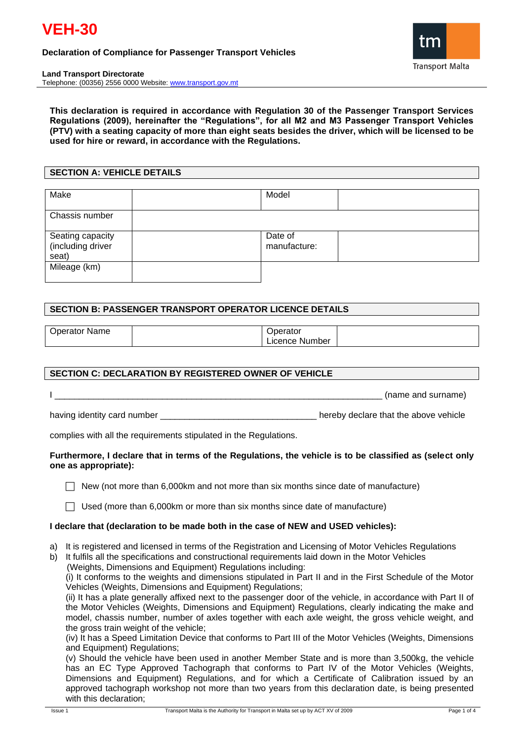



**Land Transport Directorate**

Telephone: (00356) 2556 0000 Website[: www.transport.gov.mt](http://www.transport.gov.mt/)

#### **This declaration is required in accordance with Regulation 30 of the Passenger Transport Services Regulations (2009), hereinafter the "Regulations", for all M2 and M3 Passenger Transport Vehicles (PTV) with a seating capacity of more than eight seats besides the driver, which will be licensed to be used for hire or reward, in accordance with the Regulations.**

### **SECTION A: VEHICLE DETAILS**

| Make                                           | Model                   |  |
|------------------------------------------------|-------------------------|--|
| Chassis number                                 |                         |  |
| Seating capacity<br>(including driver<br>seat) | Date of<br>manufacture: |  |
| Mileage (km)                                   |                         |  |

# **SECTION B: PASSENGER TRANSPORT OPERATOR LICENCE DETAILS**

| <b>Operator Name</b> |  |
|----------------------|--|
|                      |  |

Operator Licence Number

# **SECTION C: DECLARATION BY REGISTERED OWNER OF VEHICLE**

(name and surname)

having identity card number **that is a constant of the above vehicle** having identity card number

complies with all the requirements stipulated in the Regulations.

## **Furthermore, I declare that in terms of the Regulations, the vehicle is to be classified as (select only one as appropriate):**

 $\Box$  New (not more than 6,000km and not more than six months since date of manufacture)

 $\Box$  Used (more than 6,000km or more than six months since date of manufacture)

# **I declare that (declaration to be made both in the case of NEW and USED vehicles):**

- a) It is registered and licensed in terms of the Registration and Licensing of Motor Vehicles Regulations
- b) It fulfils all the specifications and constructional requirements laid down in the Motor Vehicles (Weights, Dimensions and Equipment) Regulations including:

(i) It conforms to the weights and dimensions stipulated in Part II and in the First Schedule of the Motor Vehicles (Weights, Dimensions and Equipment) Regulations;

(ii) It has a plate generally affixed next to the passenger door of the vehicle, in accordance with Part II of the Motor Vehicles (Weights, Dimensions and Equipment) Regulations, clearly indicating the make and model, chassis number, number of axles together with each axle weight, the gross vehicle weight, and the gross train weight of the vehicle;

(iv) It has a Speed Limitation Device that conforms to Part III of the Motor Vehicles (Weights, Dimensions and Equipment) Regulations;

(v) Should the vehicle have been used in another Member State and is more than 3,500kg, the vehicle has an EC Type Approved Tachograph that conforms to Part IV of the Motor Vehicles (Weights, Dimensions and Equipment) Regulations, and for which a Certificate of Calibration issued by an approved tachograph workshop not more than two years from this declaration date, is being presented with this declaration;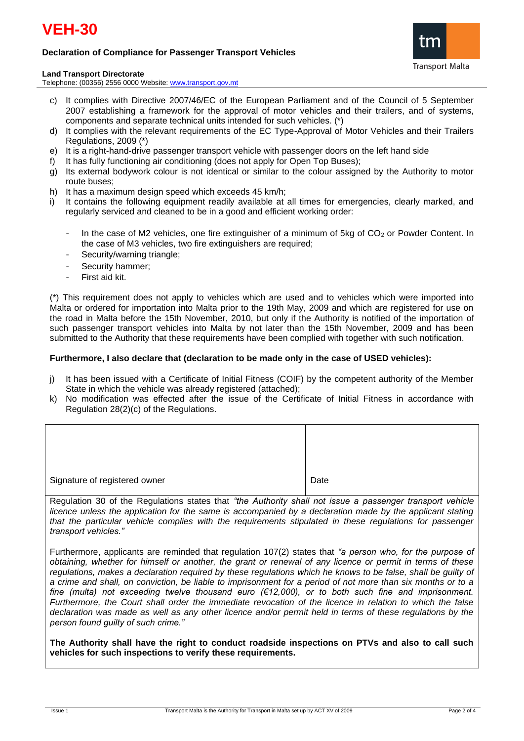



#### **Land Transport Directorate**

Telephone: (00356) 2556 0000 Website[: www.transport.gov.mt](http://www.transport.gov.mt/)

- c) It complies with Directive 2007/46/EC of the European Parliament and of the Council of 5 September 2007 establishing a framework for the approval of motor vehicles and their trailers, and of systems, components and separate technical units intended for such vehicles. (\*)
- d) It complies with the relevant requirements of the EC Type-Approval of Motor Vehicles and their Trailers Regulations, 2009 (\*)
- e) It is a right-hand-drive passenger transport vehicle with passenger doors on the left hand side
- f) It has fully functioning air conditioning (does not apply for Open Top Buses);
- g) Its external bodywork colour is not identical or similar to the colour assigned by the Authority to motor route buses;
- h) It has a maximum design speed which exceeds 45 km/h;
- i) It contains the following equipment readily available at all times for emergencies, clearly marked, and regularly serviced and cleaned to be in a good and efficient working order:
	- In the case of M2 vehicles, one fire extinguisher of a minimum of 5kg of CO<sub>2</sub> or Powder Content. In the case of M3 vehicles, two fire extinguishers are required;
	- Security/warning triangle;
	- Security hammer;
	- First aid kit.

(\*) This requirement does not apply to vehicles which are used and to vehicles which were imported into Malta or ordered for importation into Malta prior to the 19th May, 2009 and which are registered for use on the road in Malta before the 15th November, 2010, but only if the Authority is notified of the importation of such passenger transport vehicles into Malta by not later than the 15th November, 2009 and has been submitted to the Authority that these requirements have been complied with together with such notification.

#### **Furthermore, I also declare that (declaration to be made only in the case of USED vehicles):**

- j) It has been issued with a Certificate of Initial Fitness (COIF) by the competent authority of the Member State in which the vehicle was already registered (attached);
- k) No modification was effected after the issue of the Certificate of Initial Fitness in accordance with Regulation 28(2)(c) of the Regulations.

| Signature of registered owner | Date |
|-------------------------------|------|

Regulation 30 of the Regulations states that *"the Authority shall not issue a passenger transport vehicle licence unless the application for the same is accompanied by a declaration made by the applicant stating that the particular vehicle complies with the requirements stipulated in these regulations for passenger transport vehicles."*

Furthermore, applicants are reminded that regulation 107(2) states that *"a person who, for the purpose of obtaining, whether for himself or another, the grant or renewal of any licence or permit in terms of these regulations, makes a declaration required by these regulations which he knows to be false, shall be guilty of a crime and shall, on conviction, be liable to imprisonment for a period of not more than six months or to a fine (multa) not exceeding twelve thousand euro (€12,000), or to both such fine and imprisonment. Furthermore, the Court shall order the immediate revocation of the licence in relation to which the false declaration was made as well as any other licence and/or permit held in terms of these regulations by the person found guilty of such crime."*

**The Authority shall have the right to conduct roadside inspections on PTVs and also to call such vehicles for such inspections to verify these requirements.**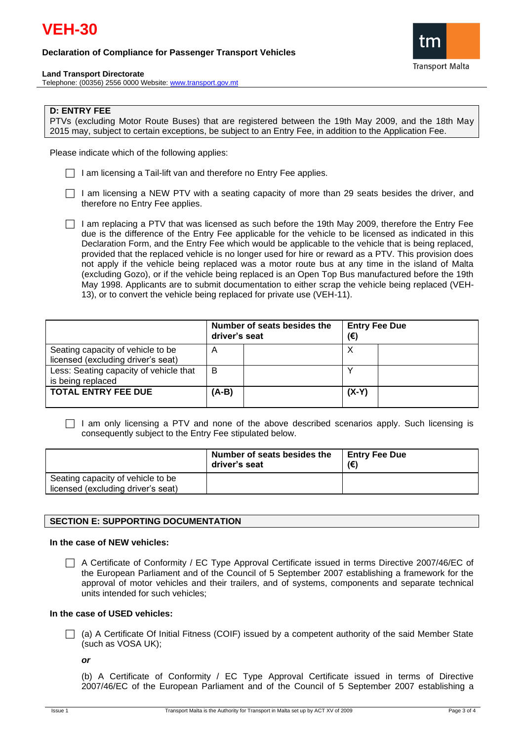



#### **Land Transport Directorate**

Telephone: (00356) 2556 0000 Website[: www.transport.gov.mt](http://www.transport.gov.mt/)

## **D: ENTRY FEE**

PTVs (excluding Motor Route Buses) that are registered between the 19th May 2009, and the 18th May 2015 may, subject to certain exceptions, be subject to an Entry Fee, in addition to the Application Fee.

Please indicate which of the following applies:

- $\Box$  I am licensing a Tail-lift van and therefore no Entry Fee applies.
- $\Box$  I am licensing a NEW PTV with a seating capacity of more than 29 seats besides the driver, and therefore no Entry Fee applies.
- $\Box$  I am replacing a PTV that was licensed as such before the 19th May 2009, therefore the Entry Fee due is the difference of the Entry Fee applicable for the vehicle to be licensed as indicated in this Declaration Form, and the Entry Fee which would be applicable to the vehicle that is being replaced, provided that the replaced vehicle is no longer used for hire or reward as a PTV. This provision does not apply if the vehicle being replaced was a motor route bus at any time in the island of Malta (excluding Gozo), or if the vehicle being replaced is an Open Top Bus manufactured before the 19th May 1998. Applicants are to submit documentation to either scrap the vehicle being replaced (VEH-13), or to convert the vehicle being replaced for private use (VEH-11).

|                                                                         | Number of seats besides the<br>driver's seat | <b>Entry Fee Due</b><br>(€) |
|-------------------------------------------------------------------------|----------------------------------------------|-----------------------------|
| Seating capacity of vehicle to be<br>licensed (excluding driver's seat) | A                                            | Χ                           |
| Less: Seating capacity of vehicle that<br>is being replaced             | B                                            |                             |
| <b>TOTAL ENTRY FEE DUE</b>                                              | $(A-B)$                                      | $(X-Y)$                     |

 $\Box$  I am only licensing a PTV and none of the above described scenarios apply. Such licensing is consequently subject to the Entry Fee stipulated below.

|                                                                         | Number of seats besides the<br>driver's seat | <b>Entry Fee Due</b><br>(€) |
|-------------------------------------------------------------------------|----------------------------------------------|-----------------------------|
| Seating capacity of vehicle to be<br>licensed (excluding driver's seat) |                                              |                             |

# **SECTION E: SUPPORTING DOCUMENTATION**

#### **In the case of NEW vehicles:**

□ A Certificate of Conformity / EC Type Approval Certificate issued in terms Directive 2007/46/EC of the European Parliament and of the Council of 5 September 2007 establishing a framework for the approval of motor vehicles and their trailers, and of systems, components and separate technical units intended for such vehicles;

## **In the case of USED vehicles:**

 $\Box$  (a) A Certificate Of Initial Fitness (COIF) issued by a competent authority of the said Member State (such as VOSA UK);

*or*

(b) A Certificate of Conformity / EC Type Approval Certificate issued in terms of Directive 2007/46/EC of the European Parliament and of the Council of 5 September 2007 establishing a